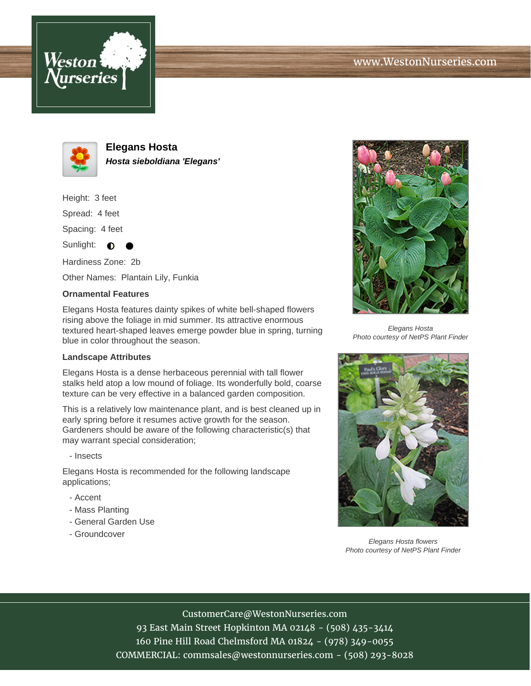





**Elegans Hosta Hosta sieboldiana 'Elegans'**

Height: 3 feet

Spread: 4 feet

Spacing: 4 feet

Sunlight:  $\bullet$ 

Hardiness Zone: 2b Other Names: Plantain Lily, Funkia

## **Ornamental Features**

Elegans Hosta features dainty spikes of white bell-shaped flowers rising above the foliage in mid summer. Its attractive enormous textured heart-shaped leaves emerge powder blue in spring, turning blue in color throughout the season.

## **Landscape Attributes**

Elegans Hosta is a dense herbaceous perennial with tall flower stalks held atop a low mound of foliage. Its wonderfully bold, coarse texture can be very effective in a balanced garden composition.

This is a relatively low maintenance plant, and is best cleaned up in early spring before it resumes active growth for the season. Gardeners should be aware of the following characteristic(s) that may warrant special consideration;

- Insects

Elegans Hosta is recommended for the following landscape applications;

- Accent
- Mass Planting
- General Garden Use
- Groundcover



Elegans Hosta Photo courtesy of NetPS Plant Finder



Elegans Hosta flowers Photo courtesy of NetPS Plant Finder

CustomerCare@WestonNurseries.com

93 East Main Street Hopkinton MA 02148 - (508) 435-3414 160 Pine Hill Road Chelmsford MA 01824 - (978) 349-0055 COMMERCIAL: commsales@westonnurseries.com - (508) 293-8028